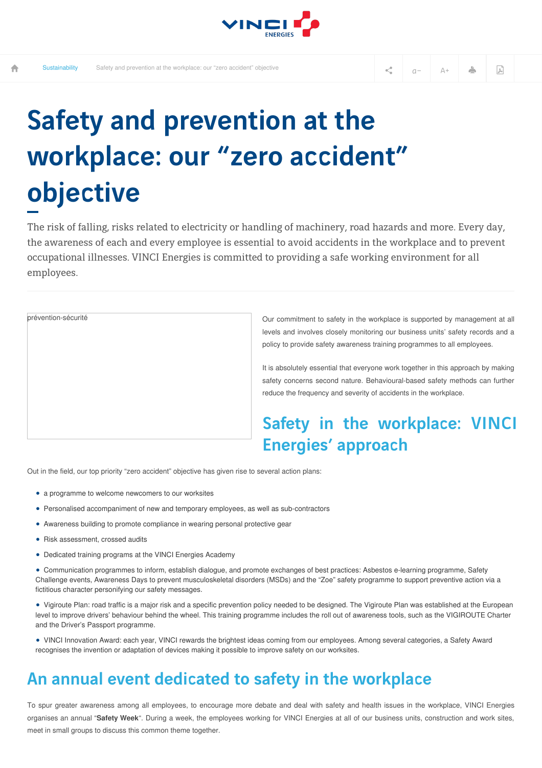

## Safety and prevention at the workplace: our "zero accident" objective

The risk of falling, risks related to electricity or handling of machinery, road hazards and more. Every day, the awareness of each and every employee is essential to avoid accidents in the workplace and to prevent occupational illnesses. VINCI Energies is committed to providing a safe working environment for all employees.

prévention-sécurité **Courtes and the servent de la commitment** to safety in the workplace is supported by management at all levels and involves closely monitoring our business units' safety records and a policy to provide safety awareness training programmes to all employees.

> It is absolutely essential that everyone work together in this approach by making safety concerns second nature. Behavioural-based safety methods can further reduce the frequency and severity of accidents in the workplace.

## Safety in the workplace: VINCI Energies' approach

Out in the field, our top priority "zero accident" objective has given rise to several action plans:

- a programme to welcome newcomers to our worksites
- Personalised accompaniment of new and temporary employees, as well as sub-contractors
- Awareness building to promote compliance in wearing personal protective gear
- Risk assessment, crossed audits
- Dedicated training programs at the VINCI Energies Academy

● Communication programmes to inform, establish dialogue, and promote exchanges of best practices: Asbestos e-learning programme, Safety Challenge events, Awareness Days to prevent musculoskeletal disorders (MSDs) and the "Zoe" safety programme to support preventive action via a fictitious character personifying our safety messages.

• Vigiroute Plan: road traffic is a major risk and a specific prevention policy needed to be designed. The Vigiroute Plan was established at the European level to improve drivers' behaviour behind the wheel. This training programme includes the roll out of awareness tools, such as the VIGIROUTE Charter and the Driver's Passport programme.

● VINCI Innovation Award: each year, VINCI rewards the brightest ideas coming from our employees. Among several categories, a Safety Award recognises the invention or adaptation of devices making it possible to improve safety on our worksites.

## An annual event dedicated to safety in the workplace

To spur greater awareness among all employees, to encourage more debate and deal with safety and health issues in the workplace, VINCI Energies organises an annual "**Safety Week**". During a week, the employees working for VINCI Energies at all of our business units, construction and work sites, meet in small groups to discuss this common theme together.